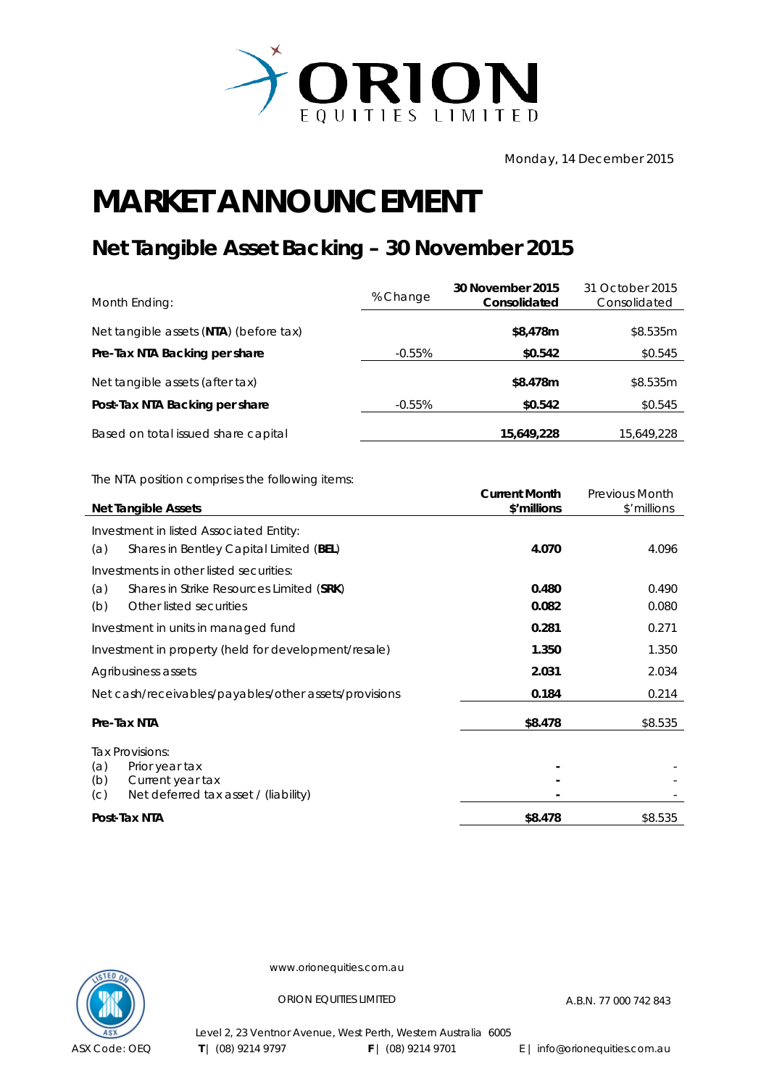

Monday, 14 December 2015

## **MARKET ANNOUNCEMENT**

## **Net Tangible Asset Backing – 30 November 2015**

| Month Ending:                          | % Change  | 30 November 2015<br>Consolidated | 31 October 2015<br>Consolidated |
|----------------------------------------|-----------|----------------------------------|---------------------------------|
| Net tangible assets (NTA) (before tax) |           | \$8,478m                         | \$8.535m                        |
| Pre-Tax NTA Backing per share          | -0.55%    | \$0.542                          | \$0.545                         |
| Net tangible assets (after tax)        |           | \$8.478m                         | \$8.535m                        |
| Post-Tax NTA Backing per share         | $-0.55\%$ | \$0.542                          | \$0.545                         |
| Based on total issued share capital    |           | 15,649,228                       | 15,649,228                      |

The NTA position comprises the following items:

| <b>Net Tangible Assets</b>                                             | <b>Current Month</b><br>\$'millions | <b>Previous Month</b><br>\$'millions |
|------------------------------------------------------------------------|-------------------------------------|--------------------------------------|
| Investment in listed Associated Entity:                                |                                     |                                      |
| Shares in Bentley Capital Limited (BEL)<br>(a)                         | 4.070                               | 4.096                                |
| Investments in other listed securities:                                |                                     |                                      |
| (a)<br>Shares in Strike Resources Limited (SRK)                        | 0.480                               | 0.490                                |
| Other listed securities<br>(b)                                         | 0.082                               | 0.080                                |
| Investment in units in managed fund                                    | 0.281                               | 0.271                                |
| Investment in property (held for development/resale)                   | 1.350                               | 1.350                                |
| Agribusiness assets                                                    | 2.031                               | 2.034                                |
| Net cash/receivables/payables/other assets/provisions                  | 0.184                               | 0.214                                |
| Pre-Tax NTA                                                            | \$8.478                             | \$8.535                              |
| Tax Provisions:                                                        |                                     |                                      |
| (a)<br>Prior year tax                                                  |                                     |                                      |
| (b)<br>Current year tax<br>Net deferred tax asset / (liability)<br>(C) |                                     |                                      |
|                                                                        |                                     |                                      |
| Post-Tax NTA                                                           | \$8.478                             | \$8.535                              |



www.orionequities.com.au

ORION EQUITIES LIMITED A.B.N. 77 000 742 843

Level 2, 23 Ventnor Avenue, West Perth, Western Australia 6005 **T** | (08) 9214 9797 **F** | (08) 9214 9701 E | info@orionequities.com.au